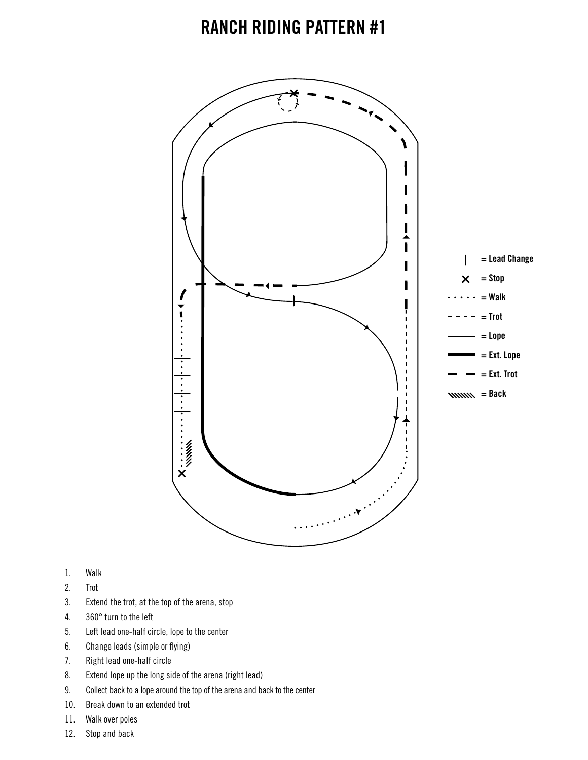

- 1. Walk
- 2. Trot
- 3. Extend the trot, at the top of the arena, stop
- 4. 360° turn to the left
- 5. Left lead one-half circle, lope to the center
- 6. Change leads (simple or flying)
- 7. Right lead one-half circle
- 8. Extend lope up the long side of the arena (right lead)
- 9. Collect back to a lope around the top of the arena and back to the center
- 10. Break down to an extended trot
- 11. Walk over poles
- 12. Stop and back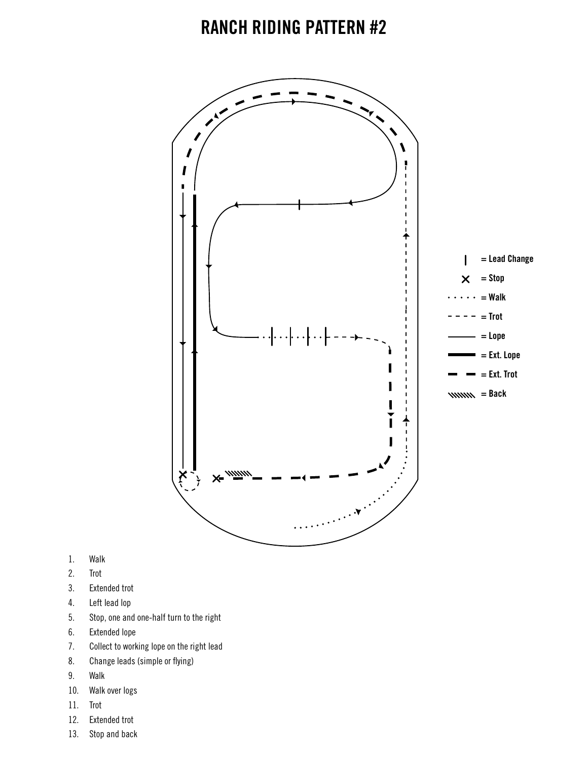

- 1. Walk
- 2. Trot
- 3. Extended trot
- 4. Left lead lop
- 5. Stop, one and one-half turn to the right
- 6. Extended lope
- 7. Collect to working lope on the right lead
- 8. Change leads (simple or flying)
- 9. Walk
- 10. Walk over logs
- 11. Trot
- 12. Extended trot
- 13. Stop and back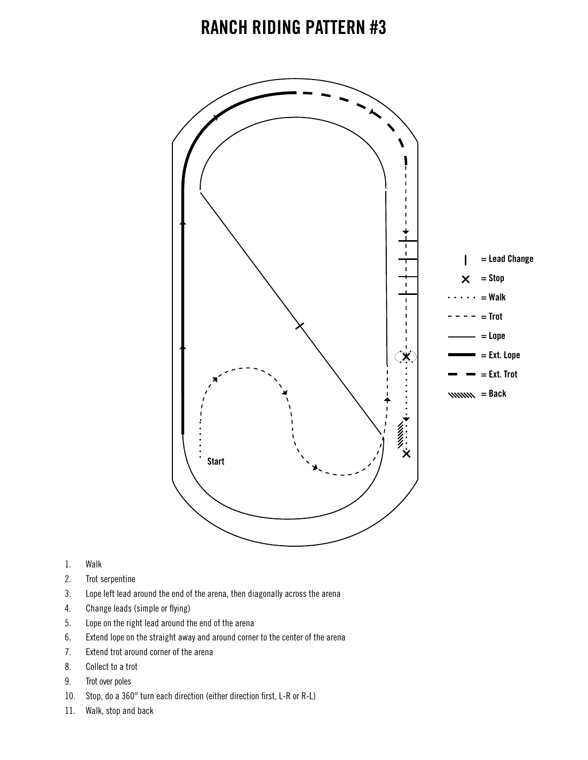

- 1. Walk
- 2. Trot serpentine
- 3. Lope left lead around the end of the arena, then diagonally across the arena
- 4. Change leads (simple or flying)
- 5. Lope on the right lead around the end of the arena
- 6. Extend lope on the straight away and around corner to the center of the arena
- 7. Extend trot around corner of the arena
- 8. Collect to a trot
- 9. Trot over poles
- 10. Stop, do a 360° turn each direction (either direction first, L-R or R-L)
- 11. Walk, stop and back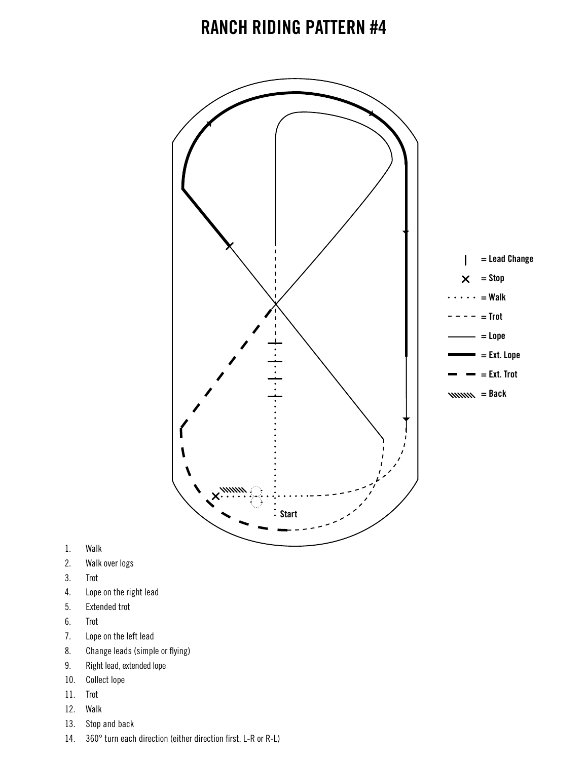

- 1. Walk
- 2. Walk over logs
- 3. Trot
- 4. Lope on the right lead
- 5. Extended trot
- 6. Trot
- 7. Lope on the left lead
- 8. Change leads (simple or flying)
- 9. Right lead, extended lope
- 10. Collect lope
- 11. Trot
- 12. Walk
- 13. Stop and back
- 14. 360° turn each direction (either direction first, L-R or R-L)